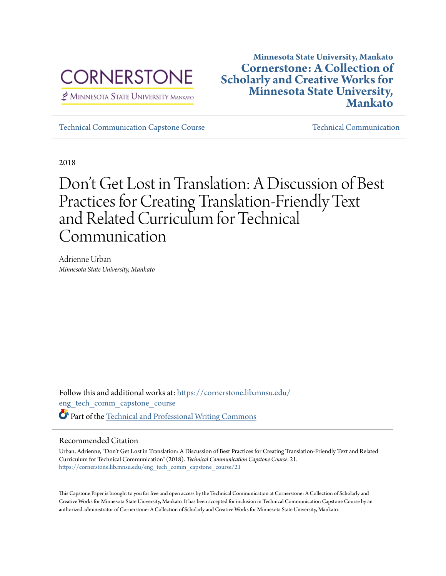

MINNESOTA STATE UNIVERSITY MANKATO

# **Minnesota State University, Mankato [Cornerstone: A Collection of](https://cornerstone.lib.mnsu.edu?utm_source=cornerstone.lib.mnsu.edu%2Feng_tech_comm_capstone_course%2F21&utm_medium=PDF&utm_campaign=PDFCoverPages) [Scholarly and Creative Works for](https://cornerstone.lib.mnsu.edu?utm_source=cornerstone.lib.mnsu.edu%2Feng_tech_comm_capstone_course%2F21&utm_medium=PDF&utm_campaign=PDFCoverPages) [Minnesota State University,](https://cornerstone.lib.mnsu.edu?utm_source=cornerstone.lib.mnsu.edu%2Feng_tech_comm_capstone_course%2F21&utm_medium=PDF&utm_campaign=PDFCoverPages) [Mankato](https://cornerstone.lib.mnsu.edu?utm_source=cornerstone.lib.mnsu.edu%2Feng_tech_comm_capstone_course%2F21&utm_medium=PDF&utm_campaign=PDFCoverPages)**

[Technical Communication Capstone Course](https://cornerstone.lib.mnsu.edu/eng_tech_comm_capstone_course?utm_source=cornerstone.lib.mnsu.edu%2Feng_tech_comm_capstone_course%2F21&utm_medium=PDF&utm_campaign=PDFCoverPages) [Technical Communication](https://cornerstone.lib.mnsu.edu/eng_tech_comm?utm_source=cornerstone.lib.mnsu.edu%2Feng_tech_comm_capstone_course%2F21&utm_medium=PDF&utm_campaign=PDFCoverPages)

2018

Don 't Get Lost in Translation: A Discussion of Best Practices for Creating Translation-Friendly Text and Related Curriculum for Technical Communication

Adrienne Urban *Minnesota State University, Mankato*

Follow this and additional works at: [https://cornerstone.lib.mnsu.edu/](https://cornerstone.lib.mnsu.edu/eng_tech_comm_capstone_course?utm_source=cornerstone.lib.mnsu.edu%2Feng_tech_comm_capstone_course%2F21&utm_medium=PDF&utm_campaign=PDFCoverPages) [eng\\_tech\\_comm\\_capstone\\_course](https://cornerstone.lib.mnsu.edu/eng_tech_comm_capstone_course?utm_source=cornerstone.lib.mnsu.edu%2Feng_tech_comm_capstone_course%2F21&utm_medium=PDF&utm_campaign=PDFCoverPages) Part of the [Technical and Professional Writing Commons](http://network.bepress.com/hgg/discipline/1347?utm_source=cornerstone.lib.mnsu.edu%2Feng_tech_comm_capstone_course%2F21&utm_medium=PDF&utm_campaign=PDFCoverPages)

# Recommended Citation

Urban, Adrienne, "Don't Get Lost in Translation: A Discussion of Best Practices for Creating Translation-Friendly Text and Related Curriculum for Technical Communication" (2018). *Technical Communication Capstone Course*. 21. [https://cornerstone.lib.mnsu.edu/eng\\_tech\\_comm\\_capstone\\_course/21](https://cornerstone.lib.mnsu.edu/eng_tech_comm_capstone_course/21?utm_source=cornerstone.lib.mnsu.edu%2Feng_tech_comm_capstone_course%2F21&utm_medium=PDF&utm_campaign=PDFCoverPages)

This Capstone Paper is brought to you for free and open access by the Technical Communication at Cornerstone: A Collection of Scholarly and Creative Works for Minnesota State University, Mankato. It has been accepted for inclusion in Technical Communication Capstone Course by an authorized administrator of Cornerstone: A Collection of Scholarly and Creative Works for Minnesota State University, Mankato.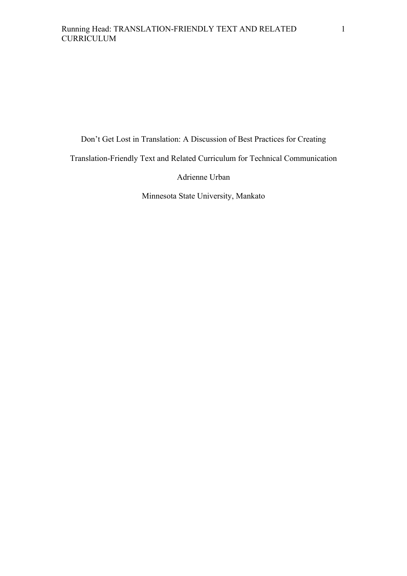Don't Get Lost in Translation: A Discussion of Best Practices for Creating

Translation-Friendly Text and Related Curriculum for Technical Communication

Adrienne Urban

Minnesota State University, Mankato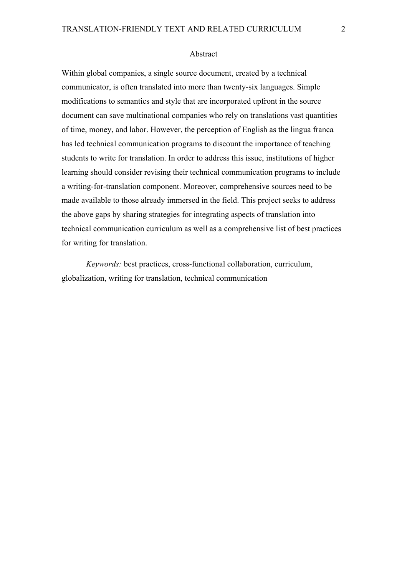# Abstract

Within global companies, a single source document, created by a technical communicator, is often translated into more than twenty-six languages. Simple modifications to semantics and style that are incorporated upfront in the source document can save multinational companies who rely on translations vast quantities of time, money, and labor. However, the perception of English as the lingua franca has led technical communication programs to discount the importance of teaching students to write for translation. In order to address this issue, institutions of higher learning should consider revising their technical communication programs to include a writing-for-translation component. Moreover, comprehensive sources need to be made available to those already immersed in the field. This project seeks to address the above gaps by sharing strategies for integrating aspects of translation into technical communication curriculum as well as a comprehensive list of best practices for writing for translation.

*Keywords:* best practices, cross-functional collaboration, curriculum, globalization, writing for translation, technical communication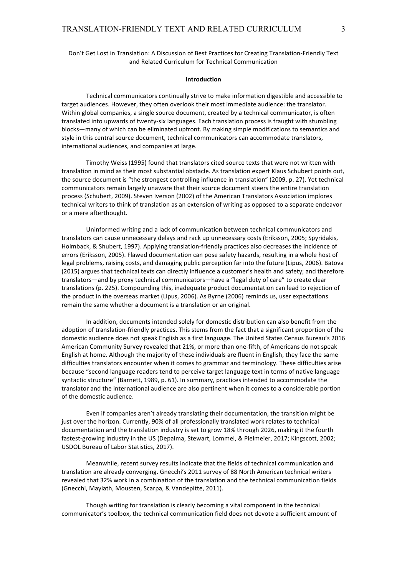# Don't Get Lost in Translation: A Discussion of Best Practices for Creating Translation-Friendly Text and Related Curriculum for Technical Communication

## **Introduction**

Technical communicators continually strive to make information digestible and accessible to target audiences. However, they often overlook their most immediate audience: the translator. Within global companies, a single source document, created by a technical communicator, is often translated into upwards of twenty-six languages. Each translation process is fraught with stumbling blocks—many of which can be eliminated upfront. By making simple modifications to semantics and style in this central source document, technical communicators can accommodate translators, international audiences, and companies at large.

Timothy Weiss (1995) found that translators cited source texts that were not written with translation in mind as their most substantial obstacle. As translation expert Klaus Schubert points out, the source document is "the strongest controlling influence in translation" (2009, p. 27). Yet technical communicators remain largely unaware that their source document steers the entire translation process (Schubert, 2009). Steven Iverson (2002) of the American Translators Association implores technical writers to think of translation as an extension of writing as opposed to a separate endeavor or a mere afterthought.

Uninformed writing and a lack of communication between technical communicators and translators can cause unnecessary delays and rack up unnecessary costs (Eriksson, 2005; Spyridakis, Holmback, & Shubert, 1997). Applying translation-friendly practices also decreases the incidence of errors (Eriksson, 2005). Flawed documentation can pose safety hazards, resulting in a whole host of legal problems, raising costs, and damaging public perception far into the future (Lipus, 2006). Batova (2015) argues that technical texts can directly influence a customer's health and safety; and therefore translators—and by proxy technical communicators—have a "legal duty of care" to create clear translations (p. 225). Compounding this, inadequate product documentation can lead to rejection of the product in the overseas market (Lipus, 2006). As Byrne (2006) reminds us, user expectations remain the same whether a document is a translation or an original.

In addition, documents intended solely for domestic distribution can also benefit from the adoption of translation-friendly practices. This stems from the fact that a significant proportion of the domestic audience does not speak English as a first language. The United States Census Bureau's 2016 American Community Survey revealed that 21%, or more than one-fifth, of Americans do not speak English at home. Although the majority of these individuals are fluent in English, they face the same difficulties translators encounter when it comes to grammar and terminology. These difficulties arise because "second language readers tend to perceive target language text in terms of native language syntactic structure" (Barnett, 1989, p. 61). In summary, practices intended to accommodate the translator and the international audience are also pertinent when it comes to a considerable portion of the domestic audience.

Even if companies aren't already translating their documentation, the transition might be just over the horizon. Currently, 90% of all professionally translated work relates to technical documentation and the translation industry is set to grow 18% through 2026, making it the fourth fastest-growing industry in the US (Depalma, Stewart, Lommel, & Pielmeier, 2017; Kingscott, 2002; USDOL Bureau of Labor Statistics, 2017).

Meanwhile, recent survey results indicate that the fields of technical communication and translation are already converging. Gnecchi's 2011 survey of 88 North American technical writers revealed that 32% work in a combination of the translation and the technical communication fields (Gnecchi, Maylath, Mousten, Scarpa, & Vandepitte, 2011).

Though writing for translation is clearly becoming a vital component in the technical communicator's toolbox, the technical communication field does not devote a sufficient amount of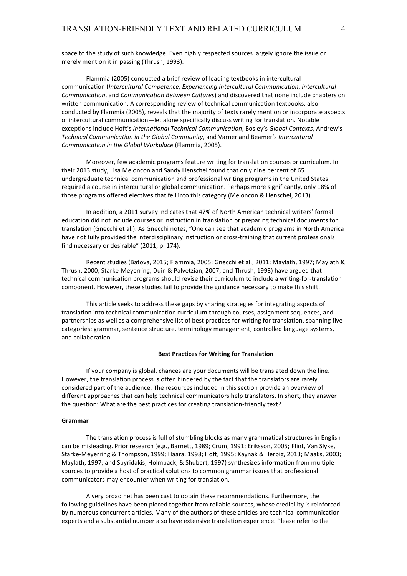space to the study of such knowledge. Even highly respected sources largely ignore the issue or merely mention it in passing (Thrush, 1993).

Flammia (2005) conducted a brief review of leading textbooks in intercultural communication (*Intercultural Competence*, *Experiencing Intercultural Communication*, *Intercultural Communication*, and *Communication Between Cultures*) and discovered that none include chapters on written communication. A corresponding review of technical communication textbooks, also conducted by Flammia (2005), reveals that the majority of texts rarely mention or incorporate aspects of intercultural communication—let alone specifically discuss writing for translation. Notable exceptions include Hoft's *International Technical Communication*, Bosley's *Global Contexts*, Andrew's Technical Communication in the Global Community, and Varner and Beamer's Intercultural *Communication in the Global Workplace* (Flammia, 2005).

Moreover, few academic programs feature writing for translation courses or curriculum. In their 2013 study, Lisa Meloncon and Sandy Henschel found that only nine percent of 65 undergraduate technical communication and professional writing programs in the United States required a course in intercultural or global communication. Perhaps more significantly, only 18% of those programs offered electives that fell into this category (Meloncon & Henschel, 2013).

In addition, a 2011 survey indicates that 47% of North American technical writers' formal education did not include courses or instruction in translation or preparing technical documents for translation (Gnecchi et al.). As Gnecchi notes, "One can see that academic programs in North America have not fully provided the interdisciplinary instruction or cross-training that current professionals find necessary or desirable" (2011, p. 174).

Recent studies (Batova, 2015; Flammia, 2005; Gnecchi et al., 2011; Maylath, 1997; Maylath & Thrush, 2000; Starke-Meyerring, Duin & Palvetzian, 2007; and Thrush, 1993) have argued that technical communication programs should revise their curriculum to include a writing-for-translation component. However, these studies fail to provide the guidance necessary to make this shift.

This article seeks to address these gaps by sharing strategies for integrating aspects of translation into technical communication curriculum through courses, assignment sequences, and partnerships as well as a comprehensive list of best practices for writing for translation, spanning five categories: grammar, sentence structure, terminology management, controlled language systems, and collaboration.

#### **Best Practices for Writing for Translation**

If your company is global, chances are your documents will be translated down the line. However, the translation process is often hindered by the fact that the translators are rarely considered part of the audience. The resources included in this section provide an overview of different approaches that can help technical communicators help translators. In short, they answer the question: What are the best practices for creating translation-friendly text?

#### **Grammar**

The translation process is full of stumbling blocks as many grammatical structures in English can be misleading. Prior research (e.g., Barnett, 1989; Crum, 1991; Eriksson, 2005; Flint, Van Slyke, Starke-Meyerring & Thompson, 1999; Haara, 1998; Hoft, 1995; Kaynak & Herbig, 2013; Maaks, 2003; Maylath, 1997; and Spyridakis, Holmback, & Shubert, 1997) synthesizes information from multiple sources to provide a host of practical solutions to common grammar issues that professional communicators may encounter when writing for translation.

A very broad net has been cast to obtain these recommendations. Furthermore, the following guidelines have been pieced together from reliable sources, whose credibility is reinforced by numerous concurrent articles. Many of the authors of these articles are technical communication experts and a substantial number also have extensive translation experience. Please refer to the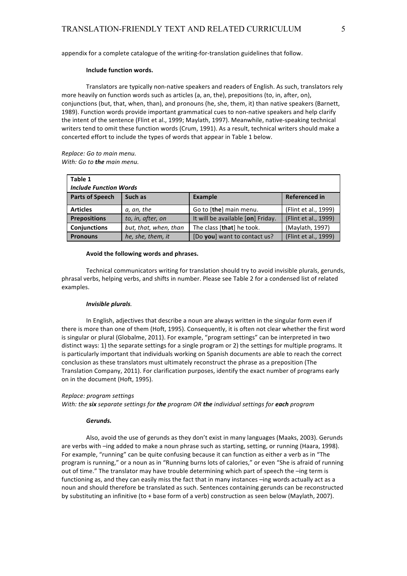appendix for a complete catalogue of the writing-for-translation guidelines that follow.

#### **Include function words.**

Translators are typically non-native speakers and readers of English. As such, translators rely more heavily on function words such as articles (a, an, the), prepositions (to, in, after, on), conjunctions (but, that, when, than), and pronouns (he, she, them, it) than native speakers (Barnett, 1989). Function words provide important grammatical cues to non-native speakers and help clarify the intent of the sentence (Flint et al., 1999; Maylath, 1997). Meanwhile, native-speaking technical writers tend to omit these function words (Crum, 1991). As a result, technical writers should make a concerted effort to include the types of words that appear in Table 1 below.

*Replace: Go to main menu. With:* Go to **the** main menu.

| Table 1                       |                       |                                   |                      |  |
|-------------------------------|-----------------------|-----------------------------------|----------------------|--|
| <b>Include Function Words</b> |                       |                                   |                      |  |
| <b>Parts of Speech</b>        | Such as               | <b>Example</b>                    | <b>Referenced in</b> |  |
| <b>Articles</b>               | a, an, the            | Go to [the] main menu.            | (Flint et al., 1999) |  |
| <b>Prepositions</b>           | to, in, after, on     | It will be available [on] Friday. | (Flint et al., 1999) |  |
| <b>Conjunctions</b>           | but, that, when, than | The class [that] he took.         | (Maylath, 1997)      |  |
| <b>Pronouns</b>               | he, she, them, it     | [Do you] want to contact us?      | (Flint et al., 1999) |  |

#### Avoid the following words and phrases.

Technical communicators writing for translation should try to avoid invisible plurals, gerunds, phrasal verbs, helping verbs, and shifts in number. Please see Table 2 for a condensed list of related examples. 

#### *Invisible plurals.*

In English, adjectives that describe a noun are always written in the singular form even if there is more than one of them (Hoft, 1995). Consequently, it is often not clear whether the first word is singular or plural (Globalme, 2011). For example, "program settings" can be interpreted in two distinct ways: 1) the separate settings for a single program or 2) the settings for multiple programs. It is particularly important that individuals working on Spanish documents are able to reach the correct conclusion as these translators must ultimately reconstruct the phrase as a preposition (The Translation Company, 2011). For clarification purposes, identify the exact number of programs early on in the document (Hoft, 1995).

#### *Replace: program settings*

*With: the six separate settings for the program OR the individual settings for each program* 

#### *Gerunds.*

Also, avoid the use of gerunds as they don't exist in many languages (Maaks, 2003). Gerunds are verbs with -ing added to make a noun phrase such as starting, setting, or running (Haara, 1998). For example, "running" can be quite confusing because it can function as either a verb as in "The program is running," or a noun as in "Running burns lots of calories," or even "She is afraid of running out of time." The translator may have trouble determining which part of speech the -ing term is functioning as, and they can easily miss the fact that in many instances  $-$ ing words actually act as a noun and should therefore be translated as such. Sentences containing gerunds can be reconstructed by substituting an infinitive (to + base form of a verb) construction as seen below (Maylath, 2007).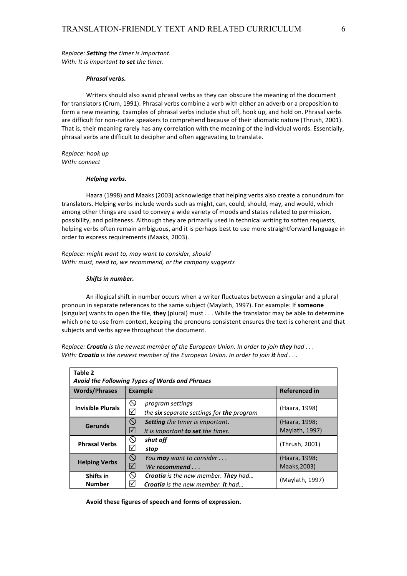*Replace:* **Setting** the timer is important. *With: It is important to set the timer.* 

#### *Phrasal verbs.*

Writers should also avoid phrasal verbs as they can obscure the meaning of the document for translators (Crum, 1991). Phrasal verbs combine a verb with either an adverb or a preposition to form a new meaning. Examples of phrasal verbs include shut off, hook up, and hold on. Phrasal verbs are difficult for non-native speakers to comprehend because of their idiomatic nature (Thrush, 2001). That is, their meaning rarely has any correlation with the meaning of the individual words. Essentially, phrasal verbs are difficult to decipher and often aggravating to translate.

*Replace: hook up With: connect*

#### *Helping verbs.*

Haara (1998) and Maaks (2003) acknowledge that helping verbs also create a conundrum for translators. Helping verbs include words such as might, can, could, should, may, and would, which among other things are used to convey a wide variety of moods and states related to permission, possibility, and politeness. Although they are primarily used in technical writing to soften requests, helping verbs often remain ambiguous, and it is perhaps best to use more straightforward language in order to express requirements (Maaks, 2003).

*Replace:* might want to, may want to consider, should *With: must, need to, we recommend, or the company suggests* 

#### **Shifts** in number.

An illogical shift in number occurs when a writer fluctuates between a singular and a plural pronoun in separate references to the same subject (Maylath, 1997). For example: If **someone** (singular) wants to open the file, they (plural) must . . . While the translator may be able to determine which one to use from context, keeping the pronouns consistent ensures the text is coherent and that subjects and verbs agree throughout the document.

*Replace: Croatia is the newest member of the European Union. In order to join they had ... With:* Croatia is the newest member of the European Union. In order to join it had ...

| Table 2<br>Avoid the Following Types of Words and Phrases |                                                                                                                 |                                 |  |
|-----------------------------------------------------------|-----------------------------------------------------------------------------------------------------------------|---------------------------------|--|
| <b>Words/Phrases</b>                                      | <b>Example</b>                                                                                                  | <b>Referenced in</b>            |  |
| <b>Invisible Plurals</b>                                  | $\infty$<br>program settings<br>⊻<br>the six separate settings for the program                                  | (Haara, 1998)                   |  |
| Gerunds                                                   | $\circledcirc$<br><b>Setting</b> the timer is important.<br>☑<br>It is important to set the timer.              | (Haara, 1998;<br>Maylath, 1997) |  |
| <b>Phrasal Verbs</b>                                      | $\infty$<br>shut off<br>$\sqrt{}$<br>stop                                                                       | (Thrush, 2001)                  |  |
| <b>Helping Verbs</b>                                      | $\circledcirc$<br>You <b>may</b> want to consider<br>$\triangledown$<br>We recommend $\ldots$                   | (Haara, 1998;<br>Maaks, 2003)   |  |
| Shifts in<br><b>Number</b>                                | $\circ$<br><b>Croatia</b> is the new member. <b>They</b> had<br>∣√∣<br><b>Croatia</b> is the new member. It had | (Maylath, 1997)                 |  |

Avoid these figures of speech and forms of expression.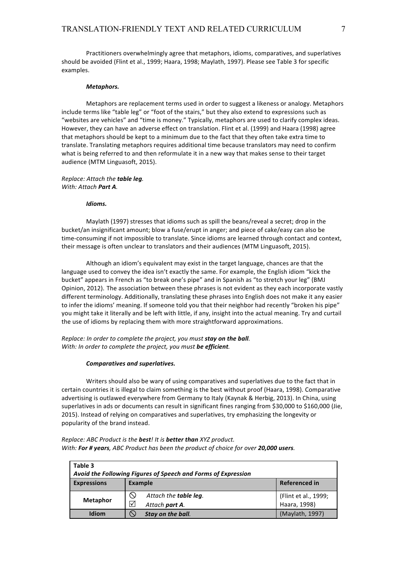Practitioners overwhelmingly agree that metaphors, idioms, comparatives, and superlatives should be avoided (Flint et al., 1999; Haara, 1998; Maylath, 1997). Please see Table 3 for specific examples.

#### *Metaphors.*

Metaphors are replacement terms used in order to suggest a likeness or analogy. Metaphors include terms like "table leg" or "foot of the stairs," but they also extend to expressions such as "websites are vehicles" and "time is money." Typically, metaphors are used to clarify complex ideas. However, they can have an adverse effect on translation. Flint et al. (1999) and Haara (1998) agree that metaphors should be kept to a minimum due to the fact that they often take extra time to translate. Translating metaphors requires additional time because translators may need to confirm what is being referred to and then reformulate it in a new way that makes sense to their target audience (MTM Linguasoft, 2015).

# *Replace:* Attach the **table** leg. *With: Attach Part A.*

#### *Idioms.*

Maylath (1997) stresses that idioms such as spill the beans/reveal a secret; drop in the bucket/an insignificant amount; blow a fuse/erupt in anger; and piece of cake/easy can also be time-consuming if not impossible to translate. Since idioms are learned through contact and context, their message is often unclear to translators and their audiences (MTM Linguasoft, 2015).

Although an idiom's equivalent may exist in the target language, chances are that the language used to convey the idea isn't exactly the same. For example, the English idiom "kick the bucket" appears in French as "to break one's pipe" and in Spanish as "to stretch your leg" (BMJ Opinion, 2012). The association between these phrases is not evident as they each incorporate vastly different terminology. Additionally, translating these phrases into English does not make it any easier to infer the idioms' meaning. If someone told you that their neighbor had recently "broken his pipe" you might take it literally and be left with little, if any, insight into the actual meaning. Try and curtail the use of idioms by replacing them with more straightforward approximations.

*Replace: In order to complete the project, you must stay on the ball. With: In order to complete the project, you must be efficient.* 

#### *Comparatives and superlatives.*

Writers should also be wary of using comparatives and superlatives due to the fact that in certain countries it is illegal to claim something is the best without proof (Haara, 1998). Comparative advertising is outlawed everywhere from Germany to Italy (Kaynak & Herbig, 2013). In China, using superlatives in ads or documents can result in significant fines ranging from \$30,000 to \$160,000 (Jie, 2015). Instead of relying on comparatives and superlatives, try emphasizing the longevity or popularity of the brand instead.

| Table 3<br>Avoid the Following Figures of Speech and Forms of Expression |                                         |                      |  |
|--------------------------------------------------------------------------|-----------------------------------------|----------------------|--|
| <b>Expressions</b>                                                       | <b>Referenced in</b><br>Example         |                      |  |
| <b>Metaphor</b>                                                          | Attach the <b>table leg</b> .<br>$\sim$ | (Flint et al., 1999; |  |
|                                                                          | Ⅳ<br>Attach part A.                     | Haara, 1998)         |  |
| Idiom                                                                    | Stay on the ball.                       | (Maylath, 1997)      |  |

*Replace: ABC Product is the best! It is better than XYZ product. With:* For # years, ABC Product has been the product of choice for over 20,000 users.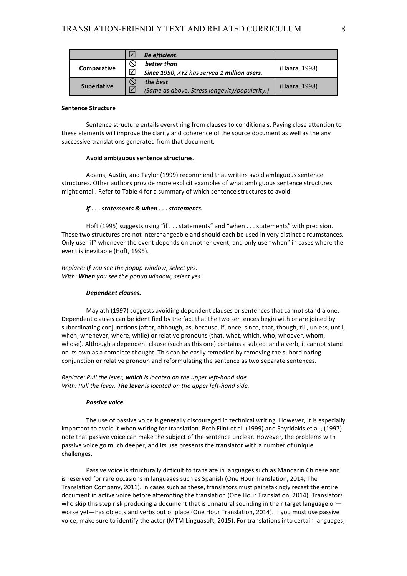|                    | Be efficient.                                 |               |
|--------------------|-----------------------------------------------|---------------|
| Comparative        | better than                                   | (Haara, 1998) |
|                    | Since 1950, XYZ has served 1 million users.   |               |
| <b>Superlative</b> | the best                                      | (Haara, 1998) |
|                    | (Same as above. Stress longevity/popularity.) |               |

# **Sentence Structure**

Sentence structure entails everything from clauses to conditionals. Paying close attention to these elements will improve the clarity and coherence of the source document as well as the any successive translations generated from that document.

#### **Avoid ambiguous sentence structures.**

Adams, Austin, and Taylor (1999) recommend that writers avoid ambiguous sentence structures. Other authors provide more explicit examples of what ambiguous sentence structures might entail. Refer to Table 4 for a summary of which sentence structures to avoid.

### *If . . . statements & when . . . statements.*

Hoft (1995) suggests using "if . . . statements" and "when . . . statements" with precision. These two structures are not interchangeable and should each be used in very distinct circumstances. Only use "if" whenever the event depends on another event, and only use "when" in cases where the event is inevitable (Hoft, 1995).

*Replace: If you see the popup window, select yes. With:* When you see the popup window, select yes.

#### *Dependent clauses.*

Maylath (1997) suggests avoiding dependent clauses or sentences that cannot stand alone. Dependent clauses can be identified by the fact that the two sentences begin with or are joined by subordinating conjunctions (after, although, as, because, if, once, since, that, though, till, unless, until, when, whenever, where, while) or relative pronouns (that, what, which, who, whoever, whom, whose). Although a dependent clause (such as this one) contains a subject and a verb, it cannot stand on its own as a complete thought. This can be easily remedied by removing the subordinating conjunction or relative pronoun and reformulating the sentence as two separate sentences.

# *Replace: Pull the lever, which is located on the upper left-hand side. With: Pull the lever. The lever is located on the upper left-hand side.*

#### **Passive voice.**

The use of passive voice is generally discouraged in technical writing. However, it is especially important to avoid it when writing for translation. Both Flint et al. (1999) and Spyridakis et al., (1997) note that passive voice can make the subject of the sentence unclear. However, the problems with passive voice go much deeper, and its use presents the translator with a number of unique challenges. 

Passive voice is structurally difficult to translate in languages such as Mandarin Chinese and is reserved for rare occasions in languages such as Spanish (One Hour Translation, 2014; The Translation Company, 2011). In cases such as these, translators must painstakingly recast the entire document in active voice before attempting the translation (One Hour Translation, 2014). Translators who skip this step risk producing a document that is unnatural sounding in their target language orworse yet—has objects and verbs out of place (One Hour Translation, 2014). If you must use passive voice, make sure to identify the actor (MTM Linguasoft, 2015). For translations into certain languages,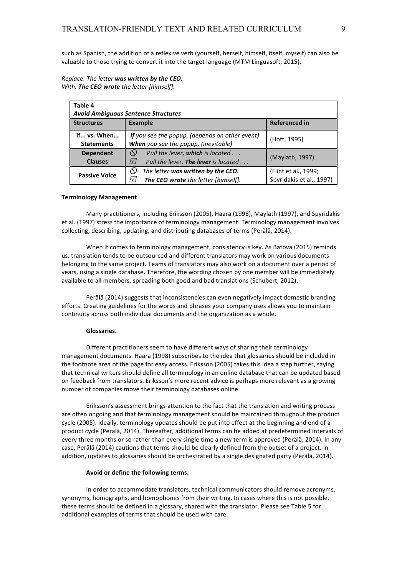such as Spanish, the addition of a reflexive verb (yourself, herself, himself, itself, myself) can also be valuable to those trying to convert it into the target language (MTM Linguasoft, 2015).

# *Replace: The letter was written by the CEO. With:* The CEO wrote the letter [himself].

| Table 4                                    |                                                                                                    |                                                  |  |
|--------------------------------------------|----------------------------------------------------------------------------------------------------|--------------------------------------------------|--|
| <b>Avoid Ambiguous Sentence Structures</b> |                                                                                                    |                                                  |  |
| <b>Structures</b>                          | <b>Example</b>                                                                                     | <b>Referenced in</b>                             |  |
| If vs. When<br><b>Statements</b>           | If you see the popup, (depends on other event)<br>When you see the popup, (inevitable)             | (Hoft, 1995)                                     |  |
| <b>Dependent</b><br><b>Clauses</b>         | Pull the lever, which is located<br>$\infty$<br>$\sqrt{ }$<br>Pull the lever. The lever is located | (Maylath, 1997)                                  |  |
| <b>Passive Voice</b>                       | The letter was written by the CEO.<br>$\mathcal{W}$<br>The CEO wrote the letter [himself].         | (Flint et al., 1999;<br>Spyridakis et al., 1997) |  |

### **Terminology Management**

Many practitioners, including Eriksson (2005), Haara (1998), Maylath (1997), and Spyridakis et al. (1997) stress the importance of terminology management. Terminology management involves collecting, describing, updating, and distributing databases of terms (Perälä, 2014).

When it comes to terminology management, consistency is key. As Batova (2015) reminds us, translation tends to be outsourced and different translators may work on various documents belonging to the same project. Teams of translators may also work on a document over a period of years, using a single database. Therefore, the wording chosen by one member will be immediately available to all members, spreading both good and bad translations (Schubert, 2012).

Perälä (2014) suggests that inconsistencies can even negatively impact domestic branding efforts. Creating guidelines for the words and phrases your company uses allows you to maintain continuity across both individual documents and the organization as a whole.

#### **Glossaries.**

Different practitioners seem to have different ways of sharing their terminology management documents. Haara (1998) subscribes to the idea that glossaries should be included in the footnote area of the page for easy access. Eriksson (2005) takes this idea a step further, saying that technical writers should define all terminology in an online database that can be updated based on feedback from translators. Eriksson's more recent advice is perhaps more relevant as a growing number of companies move their terminology databases online.

Eriksson's assessment brings attention to the fact that the translation and writing process are often ongoing and that terminology management should be maintained throughout the product cycle (2005). Ideally, terminology updates should be put into effect at the beginning and end of a product cycle (Perälä, 2014). Thereafter, additional terms can be added at predetermined intervals of every three months or so rather than every single time a new term is approved (Perälä, 2014). In any case, Perälä (2014) cautions that terms should be clearly defined from the outset of a project. In addition, updates to glossaries should be orchestrated by a single designated party (Perälä, 2014).

#### Avoid or define the following terms.

In order to accommodate translators, technical communicators should remove acronyms, synonyms, homographs, and homophones from their writing. In cases where this is not possible, these terms should be defined in a glossary, shared with the translator. Please see Table 5 for additional examples of terms that should be used with care.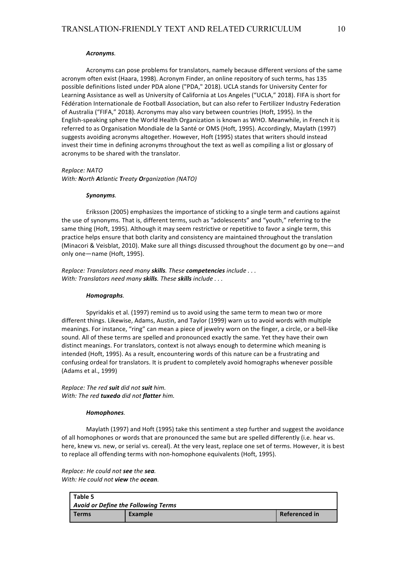#### *Acronyms.*

Acronyms can pose problems for translators, namely because different versions of the same acronym often exist (Haara, 1998). Acronym Finder, an online repository of such terms, has 135 possible definitions listed under PDA alone ("PDA," 2018). UCLA stands for University Center for Learning Assistance as well as University of California at Los Angeles ("UCLA," 2018). FIFA is short for Fédération Internationale de Football Association, but can also refer to Fertilizer Industry Federation of Australia ("FIFA," 2018). Acronyms may also vary between countries (Hoft, 1995). In the English-speaking sphere the World Health Organization is known as WHO. Meanwhile, in French it is referred to as Organisation Mondiale de la Santé or OMS (Hoft, 1995). Accordingly, Maylath (1997) suggests avoiding acronyms altogether. However, Hoft (1995) states that writers should instead invest their time in defining acronyms throughout the text as well as compiling a list or glossary of acronyms to be shared with the translator.

*Replace: NATO*

*With: North Atlantic Treaty Organization (NATO)*

#### *Synonyms.*

Eriksson (2005) emphasizes the importance of sticking to a single term and cautions against the use of synonyms. That is, different terms, such as "adolescents" and "youth," referring to the same thing (Hoft, 1995). Although it may seem restrictive or repetitive to favor a single term, this practice helps ensure that both clarity and consistency are maintained throughout the translation (Minacori & Veisblat, 2010). Make sure all things discussed throughout the document go by one—and only one—name (Hoft, 1995).

*Replace: Translators need many skills. These competencies include ... With: Translators need many skills. These skills include ...* 

#### *Homographs.*

Spyridakis et al. (1997) remind us to avoid using the same term to mean two or more different things. Likewise, Adams, Austin, and Taylor (1999) warn us to avoid words with multiple meanings. For instance, "ring" can mean a piece of jewelry worn on the finger, a circle, or a bell-like sound. All of these terms are spelled and pronounced exactly the same. Yet they have their own distinct meanings. For translators, context is not always enough to determine which meaning is intended (Hoft, 1995). As a result, encountering words of this nature can be a frustrating and confusing ordeal for translators. It is prudent to completely avoid homographs whenever possible (Adams et al., 1999)

*Replace: The red suit did not suit him. With: The red tuxedo did not flatter him.* 

#### *Homophones.*

Maylath (1997) and Hoft (1995) take this sentiment a step further and suggest the avoidance of all homophones or words that are pronounced the same but are spelled differently (i.e. hear vs. here, knew vs. new, or serial vs. cereal). At the very least, replace one set of terms. However, it is best to replace all offending terms with non-homophone equivalents (Hoft, 1995).

*Replace: He could not see the sea. With: He could not view the ocean.* 

| Table 5                                    |         |                      |  |
|--------------------------------------------|---------|----------------------|--|
| <b>Avoid or Define the Following Terms</b> |         |                      |  |
| <b>Terms</b>                               | Example | <b>Referenced in</b> |  |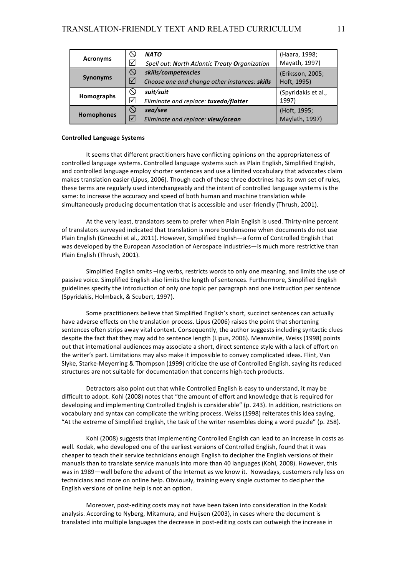|                 | ≌                   | <b>NATO</b>                                   | (Haara, 1998;       |
|-----------------|---------------------|-----------------------------------------------|---------------------|
| <b>Acronyms</b> | ⋈                   | Spell out: North Atlantic Treaty Organization | Mayath, 1997)       |
|                 | $\infty$            | skills/competencies                           | (Eriksson, 2005;    |
| <b>Synonyms</b> | $\triangledown$     | Choose one and change other instances: skills | Hoft, 1995)         |
|                 | $\infty$            | suit/suit                                     | (Spyridakis et al., |
| Homographs      | ∣√∣                 | Eliminate and replace: tuxedo/flatter         | 1997)               |
| Homophones      | $\circlearrowright$ | sea/see                                       | (Hoft, 1995;        |
|                 | $\sqrt{}$           | Eliminate and replace: view/ocean             | Maylath, 1997)      |

### **Controlled Language Systems**

It seems that different practitioners have conflicting opinions on the appropriateness of controlled language systems. Controlled language systems such as Plain English, Simplified English, and controlled language employ shorter sentences and use a limited vocabulary that advocates claim makes translation easier (Lipus, 2006). Though each of these three doctrines has its own set of rules, these terms are regularly used interchangeably and the intent of controlled language systems is the same: to increase the accuracy and speed of both human and machine translation while simultaneously producing documentation that is accessible and user-friendly (Thrush, 2001).

At the very least, translators seem to prefer when Plain English is used. Thirty-nine percent of translators surveyed indicated that translation is more burdensome when documents do not use Plain English (Gnecchi et al., 2011). However, Simplified English—a form of Controlled English that was developed by the European Association of Aerospace Industries—is much more restrictive than Plain English (Thrush, 2001).

Simplified English omits -ing verbs, restricts words to only one meaning, and limits the use of passive voice. Simplified English also limits the length of sentences. Furthermore, Simplified English guidelines specify the introduction of only one topic per paragraph and one instruction per sentence (Spyridakis, Holmback, & Scubert, 1997).

Some practitioners believe that Simplified English's short, succinct sentences can actually have adverse effects on the translation process. Lipus (2006) raises the point that shortening sentences often strips away vital context. Consequently, the author suggests including syntactic clues despite the fact that they may add to sentence length (Lipus, 2006). Meanwhile, Weiss (1998) points out that international audiences may associate a short, direct sentence style with a lack of effort on the writer's part. Limitations may also make it impossible to convey complicated ideas. Flint, Van Slyke, Starke-Meyerring & Thompson (1999) criticize the use of Controlled English, saying its reduced structures are not suitable for documentation that concerns high-tech products.

Detractors also point out that while Controlled English is easy to understand, it may be difficult to adopt. Kohl (2008) notes that "the amount of effort and knowledge that is required for developing and implementing Controlled English is considerable" (p. 243). In addition, restrictions on vocabulary and syntax can complicate the writing process. Weiss (1998) reiterates this idea saying, "At the extreme of Simplified English, the task of the writer resembles doing a word puzzle" (p. 258).

Kohl (2008) suggests that implementing Controlled English can lead to an increase in costs as well. Kodak, who developed one of the earliest versions of Controlled English, found that it was cheaper to teach their service technicians enough English to decipher the English versions of their manuals than to translate service manuals into more than 40 languages (Kohl, 2008). However, this was in 1989—well before the advent of the Internet as we know it. Nowadays, customers rely less on technicians and more on online help. Obviously, training every single customer to decipher the English versions of online help is not an option.

Moreover, post-editing costs may not have been taken into consideration in the Kodak analysis. According to Nyberg, Mitamura, and Huijsen (2003), in cases where the document is translated into multiple languages the decrease in post-editing costs can outweigh the increase in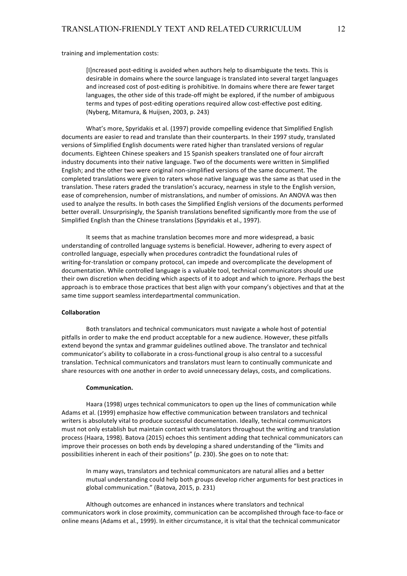training and implementation costs:

[I]ncreased post-editing is avoided when authors help to disambiguate the texts. This is desirable in domains where the source language is translated into several target languages and increased cost of post-editing is prohibitive. In domains where there are fewer target languages, the other side of this trade-off might be explored, if the number of ambiguous terms and types of post-editing operations required allow cost-effective post editing. (Nyberg, Mitamura, & Huijsen, 2003, p. 243)

What's more, Spyridakis et al. (1997) provide compelling evidence that Simplified English documents are easier to read and translate than their counterparts. In their 1997 study, translated versions of Simplified English documents were rated higher than translated versions of regular documents. Eighteen Chinese speakers and 15 Spanish speakers translated one of four aircraft industry documents into their native language. Two of the documents were written in Simplified English; and the other two were original non-simplified versions of the same document. The completed translations were given to raters whose native language was the same as that used in the translation. These raters graded the translation's accuracy, nearness in style to the English version, ease of comprehension, number of mistranslations, and number of omissions. An ANOVA was then used to analyze the results. In both cases the Simplified English versions of the documents performed better overall. Unsurprisingly, the Spanish translations benefited significantly more from the use of Simplified English than the Chinese translations (Spyridakis et al., 1997).

It seems that as machine translation becomes more and more widespread, a basic understanding of controlled language systems is beneficial. However, adhering to every aspect of controlled language, especially when procedures contradict the foundational rules of writing-for-translation or company protocol, can impede and overcomplicate the development of documentation. While controlled language is a valuable tool, technical communicators should use their own discretion when deciding which aspects of it to adopt and which to ignore. Perhaps the best approach is to embrace those practices that best align with your company's objectives and that at the same time support seamless interdepartmental communication.

#### **Collaboration**

Both translators and technical communicators must navigate a whole host of potential pitfalls in order to make the end product acceptable for a new audience. However, these pitfalls extend beyond the syntax and grammar guidelines outlined above. The translator and technical communicator's ability to collaborate in a cross-functional group is also central to a successful translation. Technical communicators and translators must learn to continually communicate and share resources with one another in order to avoid unnecessary delays, costs, and complications.

#### **Communication.**

Haara (1998) urges technical communicators to open up the lines of communication while Adams et al. (1999) emphasize how effective communication between translators and technical writers is absolutely vital to produce successful documentation. Ideally, technical communicators must not only establish but maintain contact with translators throughout the writing and translation process (Haara, 1998). Batova (2015) echoes this sentiment adding that technical communicators can improve their processes on both ends by developing a shared understanding of the "limits and possibilities inherent in each of their positions" (p. 230). She goes on to note that:

In many ways, translators and technical communicators are natural allies and a better mutual understanding could help both groups develop richer arguments for best practices in global communication." (Batova, 2015, p. 231)

Although outcomes are enhanced in instances where translators and technical communicators work in close proximity, communication can be accomplished through face-to-face or online means (Adams et al., 1999). In either circumstance, it is vital that the technical communicator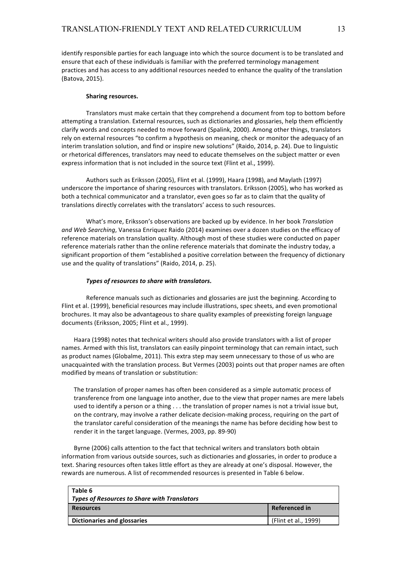identify responsible parties for each language into which the source document is to be translated and ensure that each of these individuals is familiar with the preferred terminology management practices and has access to any additional resources needed to enhance the quality of the translation (Batova, 2015).

#### **Sharing resources.**

Translators must make certain that they comprehend a document from top to bottom before attempting a translation. External resources, such as dictionaries and glossaries, help them efficiently clarify words and concepts needed to move forward (Spalink, 2000). Among other things, translators rely on external resources "to confirm a hypothesis on meaning, check or monitor the adequacy of an interim translation solution, and find or inspire new solutions" (Raido, 2014, p. 24). Due to linguistic or rhetorical differences, translators may need to educate themselves on the subject matter or even express information that is not included in the source text (Flint et al., 1999).

Authors such as Eriksson (2005), Flint et al. (1999), Haara (1998), and Maylath (1997) underscore the importance of sharing resources with translators. Eriksson (2005), who has worked as both a technical communicator and a translator, even goes so far as to claim that the quality of translations directly correlates with the translators' access to such resources.

What's more, Eriksson's observations are backed up by evidence. In her book Translation and Web Searching, Vanessa Enriquez Raido (2014) examines over a dozen studies on the efficacy of reference materials on translation quality. Although most of these studies were conducted on paper reference materials rather than the online reference materials that dominate the industry today, a significant proportion of them "established a positive correlation between the frequency of dictionary use and the quality of translations" (Raido, 2014, p. 25).

#### *Types of resources to share with translators.*

Reference manuals such as dictionaries and glossaries are just the beginning. According to Flint et al. (1999), beneficial resources may include illustrations, spec sheets, and even promotional brochures. It may also be advantageous to share quality examples of preexisting foreign language documents (Eriksson, 2005; Flint et al., 1999).

Haara (1998) notes that technical writers should also provide translators with a list of proper names. Armed with this list, translators can easily pinpoint terminology that can remain intact, such as product names (Globalme, 2011). This extra step may seem unnecessary to those of us who are unacquainted with the translation process. But Vermes (2003) points out that proper names are often modified by means of translation or substitution:

The translation of proper names has often been considered as a simple automatic process of transference from one language into another, due to the view that proper names are mere labels used to identify a person or a thing . . . the translation of proper names is not a trivial issue but, on the contrary, may involve a rather delicate decision-making process, requiring on the part of the translator careful consideration of the meanings the name has before deciding how best to render it in the target language. (Vermes, 2003, pp. 89-90)

Byrne (2006) calls attention to the fact that technical writers and translators both obtain information from various outside sources, such as dictionaries and glossaries, in order to produce a text. Sharing resources often takes little effort as they are already at one's disposal. However, the rewards are numerous. A list of recommended resources is presented in Table 6 below.

| Table 6<br><b>Types of Resources to Share with Translators</b> |                      |
|----------------------------------------------------------------|----------------------|
| <b>Resources</b>                                               | <b>Referenced in</b> |
| Dictionaries and glossaries                                    | (Flint et al., 1999) |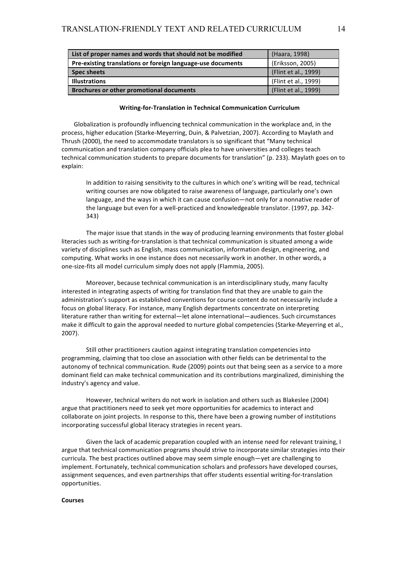| List of proper names and words that should not be modified  | (Haara, 1998)        |
|-------------------------------------------------------------|----------------------|
| Pre-existing translations or foreign language-use documents | (Eriksson, 2005)     |
| <b>Spec sheets</b>                                          | (Flint et al., 1999) |
| <b>Illustrations</b>                                        | (Flint et al., 1999) |
| <b>Brochures or other promotional documents</b>             | (Flint et al., 1999) |

#### **Writing-for-Translation in Technical Communication Curriculum**

Globalization is profoundly influencing technical communication in the workplace and, in the process, higher education (Starke-Meyerring, Duin, & Palvetzian, 2007). According to Maylath and Thrush (2000), the need to accommodate translators is so significant that "Many technical communication and translation company officials plea to have universities and colleges teach technical communication students to prepare documents for translation" (p. 233). Maylath goes on to explain:

In addition to raising sensitivity to the cultures in which one's writing will be read, technical writing courses are now obligated to raise awareness of language, particularly one's own language, and the ways in which it can cause confusion—not only for a nonnative reader of the language but even for a well-practiced and knowledgeable translator. (1997, pp. 342-343)

The major issue that stands in the way of producing learning environments that foster global literacies such as writing-for-translation is that technical communication is situated among a wide variety of disciplines such as English, mass communication, information design, engineering, and computing. What works in one instance does not necessarily work in another. In other words, a one-size-fits all model curriculum simply does not apply (Flammia, 2005).

Moreover, because technical communication is an interdisciplinary study, many faculty interested in integrating aspects of writing for translation find that they are unable to gain the administration's support as established conventions for course content do not necessarily include a focus on global literacy. For instance, many English departments concentrate on interpreting literature rather than writing for external—let alone international—audiences. Such circumstances make it difficult to gain the approval needed to nurture global competencies (Starke-Meyerring et al., 2007).

Still other practitioners caution against integrating translation competencies into programming, claiming that too close an association with other fields can be detrimental to the autonomy of technical communication. Rude (2009) points out that being seen as a service to a more dominant field can make technical communication and its contributions marginalized, diminishing the industry's agency and value.

However, technical writers do not work in isolation and others such as Blakeslee (2004) argue that practitioners need to seek yet more opportunities for academics to interact and collaborate on joint projects. In response to this, there have been a growing number of institutions incorporating successful global literacy strategies in recent years.

Given the lack of academic preparation coupled with an intense need for relevant training, I argue that technical communication programs should strive to incorporate similar strategies into their curricula. The best practices outlined above may seem simple enough—yet are challenging to implement. Fortunately, technical communication scholars and professors have developed courses, assignment sequences, and even partnerships that offer students essential writing-for-translation opportunities.

#### **Courses**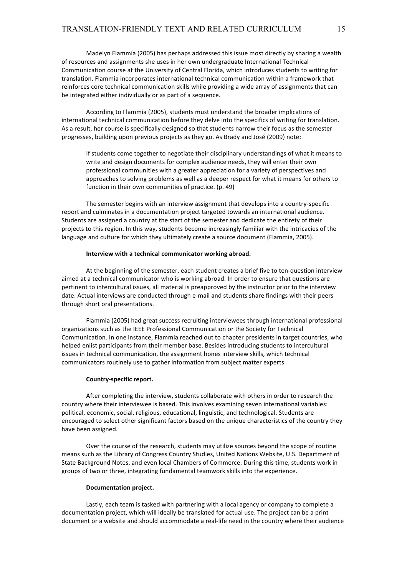Madelyn Flammia (2005) has perhaps addressed this issue most directly by sharing a wealth of resources and assignments she uses in her own undergraduate International Technical Communication course at the University of Central Florida, which introduces students to writing for translation. Flammia incorporates international technical communication within a framework that reinforces core technical communication skills while providing a wide array of assignments that can be integrated either individually or as part of a sequence.

According to Flammia (2005), students must understand the broader implications of international technical communication before they delve into the specifics of writing for translation. As a result, her course is specifically designed so that students narrow their focus as the semester progresses, building upon previous projects as they go. As Brady and José (2009) note:

If students come together to negotiate their disciplinary understandings of what it means to write and design documents for complex audience needs, they will enter their own professional communities with a greater appreciation for a variety of perspectives and approaches to solving problems as well as a deeper respect for what it means for others to function in their own communities of practice. (p. 49)

The semester begins with an interview assignment that develops into a country-specific report and culminates in a documentation project targeted towards an international audience. Students are assigned a country at the start of the semester and dedicate the entirety of their projects to this region. In this way, students become increasingly familiar with the intricacies of the language and culture for which they ultimately create a source document (Flammia, 2005).

#### **Interview with a technical communicator working abroad.**

At the beginning of the semester, each student creates a brief five to ten-question interview aimed at a technical communicator who is working abroad. In order to ensure that questions are pertinent to intercultural issues, all material is preapproved by the instructor prior to the interview date. Actual interviews are conducted through e-mail and students share findings with their peers through short oral presentations.

Flammia (2005) had great success recruiting interviewees through international professional organizations such as the IEEE Professional Communication or the Society for Technical Communication. In one instance, Flammia reached out to chapter presidents in target countries, who helped enlist participants from their member base. Besides introducing students to intercultural issues in technical communication, the assignment hones interview skills, which technical communicators routinely use to gather information from subject matter experts.

#### **Country-specific report.**

After completing the interview, students collaborate with others in order to research the country where their interviewee is based. This involves examining seven international variables: political, economic, social, religious, educational, linguistic, and technological. Students are encouraged to select other significant factors based on the unique characteristics of the country they have been assigned.

Over the course of the research, students may utilize sources beyond the scope of routine means such as the Library of Congress Country Studies, United Nations Website, U.S. Department of State Background Notes, and even local Chambers of Commerce. During this time, students work in groups of two or three, integrating fundamental teamwork skills into the experience.

#### **Documentation project.**

Lastly, each team is tasked with partnering with a local agency or company to complete a documentation project, which will ideally be translated for actual use. The project can be a print document or a website and should accommodate a real-life need in the country where their audience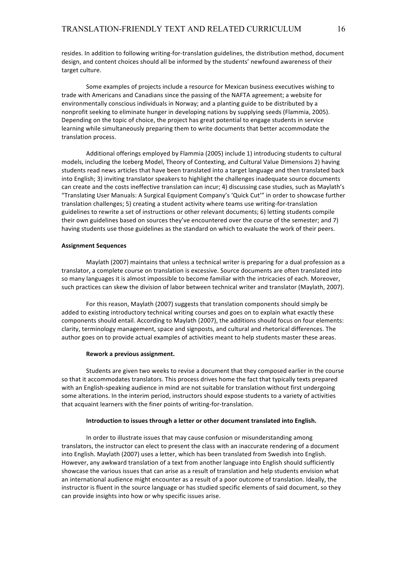resides. In addition to following writing-for-translation guidelines, the distribution method, document design, and content choices should all be informed by the students' newfound awareness of their target culture.

Some examples of projects include a resource for Mexican business executives wishing to trade with Americans and Canadians since the passing of the NAFTA agreement; a website for environmentally conscious individuals in Norway; and a planting guide to be distributed by a nonprofit seeking to eliminate hunger in developing nations by supplying seeds (Flammia, 2005). Depending on the topic of choice, the project has great potential to engage students in service learning while simultaneously preparing them to write documents that better accommodate the translation process.

Additional offerings employed by Flammia (2005) include 1) introducing students to cultural models, including the Iceberg Model, Theory of Contexting, and Cultural Value Dimensions 2) having students read news articles that have been translated into a target language and then translated back into English; 3) inviting translator speakers to highlight the challenges inadequate source documents can create and the costs ineffective translation can incur; 4) discussing case studies, such as Maylath's "Translating User Manuals: A Surgical Equipment Company's 'Quick Cut'" in order to showcase further translation challenges; 5) creating a student activity where teams use writing-for-translation guidelines to rewrite a set of instructions or other relevant documents; 6) letting students compile their own guidelines based on sources they've encountered over the course of the semester; and 7) having students use those guidelines as the standard on which to evaluate the work of their peers.

#### **Assignment Sequences**

Maylath (2007) maintains that unless a technical writer is preparing for a dual profession as a translator, a complete course on translation is excessive. Source documents are often translated into so many languages it is almost impossible to become familiar with the intricacies of each. Moreover, such practices can skew the division of labor between technical writer and translator (Maylath, 2007).

For this reason, Maylath (2007) suggests that translation components should simply be added to existing introductory technical writing courses and goes on to explain what exactly these components should entail. According to Maylath (2007), the additions should focus on four elements: clarity, terminology management, space and signposts, and cultural and rhetorical differences. The author goes on to provide actual examples of activities meant to help students master these areas.

#### **Rework a previous assignment.**

Students are given two weeks to revise a document that they composed earlier in the course so that it accommodates translators. This process drives home the fact that typically texts prepared with an English-speaking audience in mind are not suitable for translation without first undergoing some alterations. In the interim period, instructors should expose students to a variety of activities that acquaint learners with the finer points of writing-for-translation.

#### Introduction to issues through a letter or other document translated into English.

In order to illustrate issues that may cause confusion or misunderstanding among translators, the instructor can elect to present the class with an inaccurate rendering of a document into English. Maylath (2007) uses a letter, which has been translated from Swedish into English. However, any awkward translation of a text from another language into English should sufficiently showcase the various issues that can arise as a result of translation and help students envision what an international audience might encounter as a result of a poor outcome of translation. Ideally, the instructor is fluent in the source language or has studied specific elements of said document, so they can provide insights into how or why specific issues arise.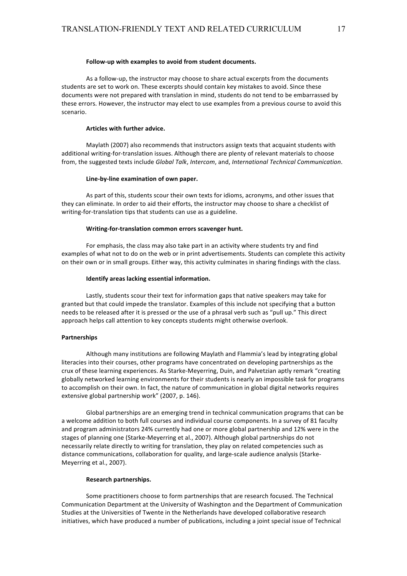#### Follow-up with examples to avoid from student documents.

As a follow-up, the instructor may choose to share actual excerpts from the documents students are set to work on. These excerpts should contain key mistakes to avoid. Since these documents were not prepared with translation in mind, students do not tend to be embarrassed by these errors. However, the instructor may elect to use examples from a previous course to avoid this scenario. 

#### **Articles with further advice.**

Maylath (2007) also recommends that instructors assign texts that acquaint students with additional writing-for-translation issues. Although there are plenty of relevant materials to choose from, the suggested texts include *Global Talk*, *Intercom*, and, *International Technical Communication*.

#### Line-by-line examination of own paper.

As part of this, students scour their own texts for idioms, acronyms, and other issues that they can eliminate. In order to aid their efforts, the instructor may choose to share a checklist of writing-for-translation tips that students can use as a guideline.

#### **Writing-for-translation common errors scavenger hunt.**

For emphasis, the class may also take part in an activity where students try and find examples of what not to do on the web or in print advertisements. Students can complete this activity on their own or in small groups. Either way, this activity culminates in sharing findings with the class.

#### **Identify areas lacking essential information.**

Lastly, students scour their text for information gaps that native speakers may take for granted but that could impede the translator. Examples of this include not specifying that a button needs to be released after it is pressed or the use of a phrasal verb such as "pull up." This direct approach helps call attention to key concepts students might otherwise overlook.

#### **Partnerships**

Although many institutions are following Maylath and Flammia's lead by integrating global literacies into their courses, other programs have concentrated on developing partnerships as the crux of these learning experiences. As Starke-Meyerring, Duin, and Palvetzian aptly remark "creating globally networked learning environments for their students is nearly an impossible task for programs to accomplish on their own. In fact, the nature of communication in global digital networks requires extensive global partnership work" (2007, p. 146).

Global partnerships are an emerging trend in technical communication programs that can be a welcome addition to both full courses and individual course components. In a survey of 81 faculty and program administrators 24% currently had one or more global partnership and 12% were in the stages of planning one (Starke-Meyerring et al., 2007). Although global partnerships do not necessarily relate directly to writing for translation, they play on related competencies such as distance communications, collaboration for quality, and large-scale audience analysis (Starke-Meyerring et al., 2007).

#### **Research partnerships.**

Some practitioners choose to form partnerships that are research focused. The Technical Communication Department at the University of Washington and the Department of Communication Studies at the Universities of Twente in the Netherlands have developed collaborative research initiatives, which have produced a number of publications, including a joint special issue of Technical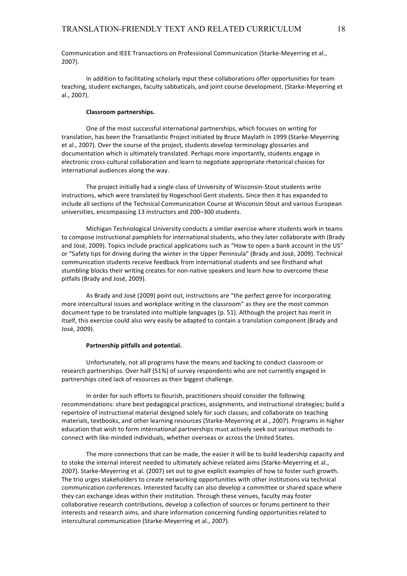Communication and IEEE Transactions on Professional Communication (Starke-Meyerring et al., 2007).

In addition to facilitating scholarly input these collaborations offer opportunities for team teaching, student exchanges, faculty sabbaticals, and joint course development. (Starke-Meyerring et al., 2007).

### **Classroom partnerships.**

One of the most successful international partnerships, which focuses on writing for translation, has been the Transatlantic Project initiated by Bruce Maylath in 1999 (Starke-Meyerring et al., 2007). Over the course of the project, students develop terminology glossaries and documentation which is ultimately translated. Perhaps more importantly, students engage in electronic cross-cultural collaboration and learn to negotiate appropriate rhetorical choices for international audiences along the way.

The project initially had a single class of University of Wisconsin-Stout students write instructions, which were translated by Hogeschool Gent students. Since then it has expanded to include all sections of the Technical Communication Course at Wisconsin Stout and various European universities, encompassing 13 instructors and 200-300 students.

Michigan Technological University conducts a similar exercise where students work in teams to compose instructional pamphlets for international students, who they later collaborate with (Brady and José, 2009). Topics include practical applications such as "How to open a bank account in the US" or "Safety tips for driving during the winter in the Upper Peninsula" (Brady and José, 2009). Technical communication students receive feedback from international students and see firsthand what stumbling blocks their writing creates for non-native speakers and learn how to overcome these pitfalls (Brady and José, 2009).

As Brady and José (2009) point out, instructions are "the perfect genre for incorporating more intercultural issues and workplace writing in the classroom" as they are the most common document type to be translated into multiple languages (p. 51). Although the project has merit in itself, this exercise could also very easily be adapted to contain a translation component (Brady and José, 2009).

#### **Partnership pitfalls and potential.**

Unfortunately, not all programs have the means and backing to conduct classroom or research partnerships. Over half (51%) of survey respondents who are not currently engaged in partnerships cited lack of resources as their biggest challenge.

In order for such efforts to flourish, practitioners should consider the following recommendations: share best pedagogical practices, assignments, and instructional strategies; build a repertoire of instructional material designed solely for such classes; and collaborate on teaching materials, textbooks, and other learning resources (Starke-Meyerring et al., 2007). Programs in higher education that wish to form international partnerships must actively seek out various methods to connect with like-minded individuals, whether overseas or across the United States.

The more connections that can be made, the easier it will be to build leadership capacity and to stoke the internal interest needed to ultimately achieve related aims (Starke-Meyerring et al., 2007). Starke-Meyerring et al. (2007) set out to give explicit examples of how to foster such growth. The trio urges stakeholders to create networking opportunities with other institutions via technical communication conferences. Interested faculty can also develop a committee or shared space where they can exchange ideas within their institution. Through these venues, faculty may foster collaborative research contributions, develop a collection of sources or forums pertinent to their interests and research aims, and share information concerning funding opportunities related to intercultural communication (Starke-Meyerring et al., 2007).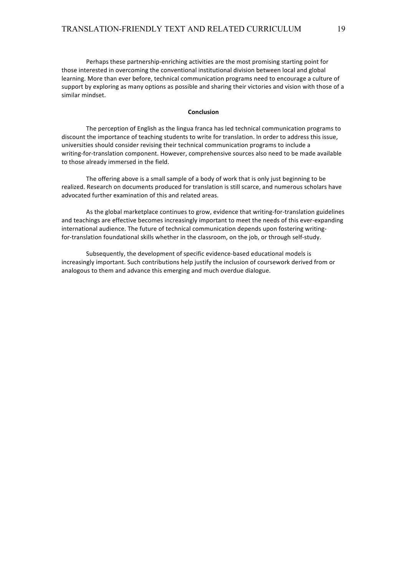Perhaps these partnership-enriching activities are the most promising starting point for those interested in overcoming the conventional institutional division between local and global learning. More than ever before, technical communication programs need to encourage a culture of support by exploring as many options as possible and sharing their victories and vision with those of a similar mindset.

# **Conclusion**

The perception of English as the lingua franca has led technical communication programs to discount the importance of teaching students to write for translation. In order to address this issue, universities should consider revising their technical communication programs to include a writing-for-translation component. However, comprehensive sources also need to be made available to those already immersed in the field.

The offering above is a small sample of a body of work that is only just beginning to be realized. Research on documents produced for translation is still scarce, and numerous scholars have advocated further examination of this and related areas.

As the global marketplace continues to grow, evidence that writing-for-translation guidelines and teachings are effective becomes increasingly important to meet the needs of this ever-expanding international audience. The future of technical communication depends upon fostering writingfor-translation foundational skills whether in the classroom, on the job, or through self-study.

Subsequently, the development of specific evidence-based educational models is increasingly important. Such contributions help justify the inclusion of coursework derived from or analogous to them and advance this emerging and much overdue dialogue.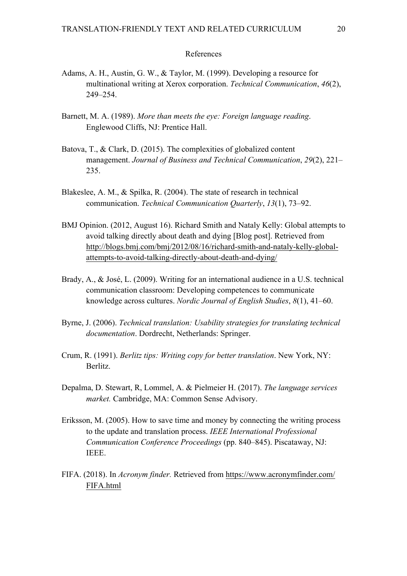# References

- Adams, A. H., Austin, G. W., & Taylor, M. (1999). Developing a resource for multinational writing at Xerox corporation. *Technical Communication*, *46*(2), 249–254.
- Barnett, M. A. (1989). *More than meets the eye: Foreign language reading*. Englewood Cliffs, NJ: Prentice Hall.
- Batova, T., & Clark, D. (2015). The complexities of globalized content management. *Journal of Business and Technical Communication*, *29*(2), 221– 235.
- Blakeslee, A. M., & Spilka, R. (2004). The state of research in technical communication. *Technical Communication Quarterly*, *13*(1), 73–92.
- BMJ Opinion. (2012, August 16). Richard Smith and Nataly Kelly: Global attempts to avoid talking directly about death and dying [Blog post]. Retrieved from http://blogs.bmj.com/bmj/2012/08/16/richard-smith-and-nataly-kelly-globalattempts-to-avoid-talking-directly-about-death-and-dying/
- Brady, A., & José, L. (2009). Writing for an international audience in a U.S. technical communication classroom: Developing competences to communicate knowledge across cultures. *Nordic Journal of English Studies*, *8*(1), 41–60.
- Byrne, J. (2006). *Technical translation: Usability strategies for translating technical documentation*. Dordrecht, Netherlands: Springer.
- Crum, R. (1991). *Berlitz tips: Writing copy for better translation*. New York, NY: Berlitz.
- Depalma, D. Stewart, R, Lommel, A. & Pielmeier H. (2017). *The language services market.* Cambridge, MA: Common Sense Advisory.
- Eriksson, M. (2005). How to save time and money by connecting the writing process to the update and translation process. *IEEE International Professional Communication Conference Proceedings* (pp. 840–845). Piscataway, NJ: IEEE.
- FIFA. (2018). In *Acronym finder.* Retrieved from https://www.acronymfinder.com/ FIFA.html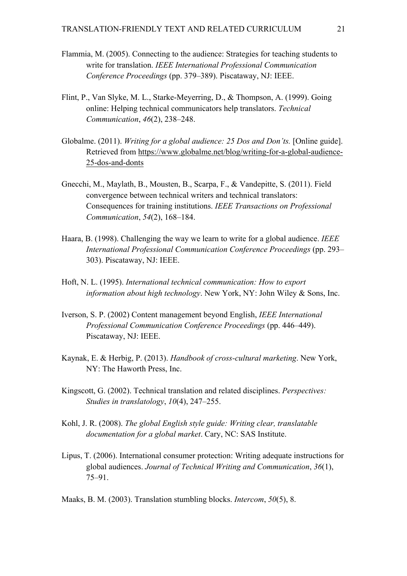- Flammia, M. (2005). Connecting to the audience: Strategies for teaching students to write for translation. *IEEE International Professional Communication Conference Proceedings* (pp. 379–389). Piscataway, NJ: IEEE.
- Flint, P., Van Slyke, M. L., Starke-Meyerring, D., & Thompson, A. (1999). Going online: Helping technical communicators help translators. *Technical Communication*, *46*(2), 238–248.
- Globalme. (2011). *Writing for a global audience: 25 Dos and Don'ts.* [Online guide]. Retrieved from https://www.globalme.net/blog/writing-for-a-global-audience-25-dos-and-donts
- Gnecchi, M., Maylath, B., Mousten, B., Scarpa, F., & Vandepitte, S. (2011). Field convergence between technical writers and technical translators: Consequences for training institutions. *IEEE Transactions on Professional Communication*, *54*(2), 168–184.
- Haara, B. (1998). Challenging the way we learn to write for a global audience. *IEEE International Professional Communication Conference Proceedings* (pp. 293– 303). Piscataway, NJ: IEEE.
- Hoft, N. L. (1995). *International technical communication: How to export information about high technology*. New York, NY: John Wiley & Sons, Inc.
- Iverson, S. P. (2002) Content management beyond English, *IEEE International Professional Communication Conference Proceedings* (pp. 446–449). Piscataway, NJ: IEEE.
- Kaynak, E. & Herbig, P. (2013). *Handbook of cross-cultural marketing*. New York, NY: The Haworth Press, Inc.
- Kingscott, G. (2002). Technical translation and related disciplines. *Perspectives: Studies in translatology*, *10*(4), 247–255.
- Kohl, J. R. (2008). *The global English style guide: Writing clear, translatable documentation for a global market*. Cary, NC: SAS Institute.
- Lipus, T. (2006). International consumer protection: Writing adequate instructions for global audiences. *Journal of Technical Writing and Communication*, *36*(1), 75–91.

Maaks, B. M. (2003). Translation stumbling blocks. *Intercom*, *50*(5), 8.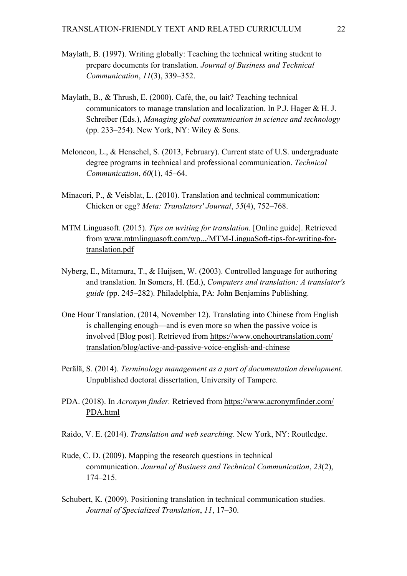- Maylath, B. (1997). Writing globally: Teaching the technical writing student to prepare documents for translation. *Journal of Business and Technical Communication*, *11*(3), 339–352.
- Maylath, B., & Thrush, E. (2000). Café, the, ou lait? Teaching technical communicators to manage translation and localization. In P.J. Hager & H. J. Schreiber (Eds.), *Managing global communication in science and technology*  (pp. 233–254). New York, NY: Wiley & Sons.
- Meloncon, L., & Henschel, S. (2013, February). Current state of U.S. undergraduate degree programs in technical and professional communication. *Technical Communication*, *60*(1), 45–64.
- Minacori, P., & Veisblat, L. (2010). Translation and technical communication: Chicken or egg? *Meta: Translators' Journal*, *55*(4), 752–768.
- MTM Linguasoft. (2015). *Tips on writing for translation.* [Online guide]. Retrieved from www.mtmlinguasoft.com/wp.../MTM-LinguaSoft-tips-for-writing-fortranslation.pdf
- Nyberg, E., Mitamura, T., & Huijsen, W. (2003). Controlled language for authoring and translation. In Somers, H. (Ed.), *Computers and translation: A translator's guide* (pp. 245–282). Philadelphia, PA: John Benjamins Publishing.
- One Hour Translation. (2014, November 12). Translating into Chinese from English is challenging enough—and is even more so when the passive voice is involved [Blog post]. Retrieved from https://www.onehourtranslation.com/ translation/blog/active-and-passive-voice-english-and-chinese
- Perälä, S. (2014). *Terminology management as a part of documentation development*. Unpublished doctoral dissertation, University of Tampere.
- PDA. (2018). In *Acronym finder.* Retrieved from https://www.acronymfinder.com/ PDA.html
- Raido, V. E. (2014). *Translation and web searching*. New York, NY: Routledge.
- Rude, C. D. (2009). Mapping the research questions in technical communication. *Journal of Business and Technical Communication*, *23*(2), 174–215.
- Schubert, K. (2009). Positioning translation in technical communication studies. *Journal of Specialized Translation*, *11*, 17–30.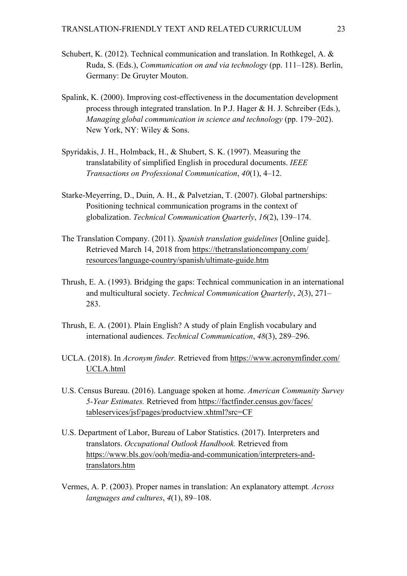- Schubert, K. (2012). Technical communication and translation. In Rothkegel, A. & Ruda, S. (Eds.), *Communication on and via technology* (pp. 111–128). Berlin, Germany: De Gruyter Mouton.
- Spalink, K. (2000). Improving cost-effectiveness in the documentation development process through integrated translation. In P.J. Hager & H. J. Schreiber (Eds.), *Managing global communication in science and technology* (pp. 179–202). New York, NY: Wiley & Sons.
- Spyridakis, J. H., Holmback, H., & Shubert, S. K. (1997). Measuring the translatability of simplified English in procedural documents. *IEEE Transactions on Professional Communication*, *40*(1), 4–12.
- Starke-Meyerring, D., Duin, A. H., & Palvetzian, T. (2007). Global partnerships: Positioning technical communication programs in the context of globalization. *Technical Communication Quarterly*, *16*(2), 139–174.
- The Translation Company. (2011). *Spanish translation guidelines* [Online guide]. Retrieved March 14, 2018 from https://thetranslationcompany.com/ resources/language-country/spanish/ultimate-guide.htm
- Thrush, E. A. (1993). Bridging the gaps: Technical communication in an international and multicultural society. *Technical Communication Quarterly*, *2*(3), 271– 283.
- Thrush, E. A. (2001). Plain English? A study of plain English vocabulary and international audiences. *Technical Communication*, *48*(3), 289–296.
- UCLA. (2018). In *Acronym finder.* Retrieved from https://www.acronymfinder.com/ UCLA.html
- U.S. Census Bureau. (2016). Language spoken at home. *American Community Survey 5-Year Estimates.* Retrieved from https://factfinder.census.gov/faces/ tableservices/jsf/pages/productview.xhtml?src=CF
- U.S. Department of Labor, Bureau of Labor Statistics. (2017). Interpreters and translators. *Occupational Outlook Handbook.* Retrieved from https://www.bls.gov/ooh/media-and-communication/interpreters-andtranslators.htm
- Vermes, A. P. (2003). Proper names in translation: An explanatory attempt*. Across languages and cultures*, *4*(1), 89–108.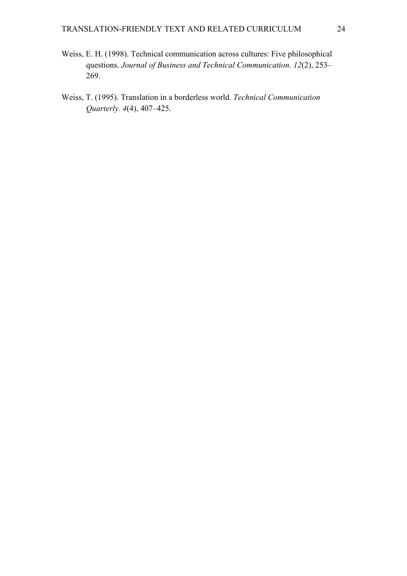- Weiss, E. H. (1998). Technical communication across cultures: Five philosophical questions. *Journal of Business and Technical Communication. 12*(2), 253– 269.
- Weiss, T. (1995). Translation in a borderless world. *Technical Communication Quarterly. 4*(4), 407–425.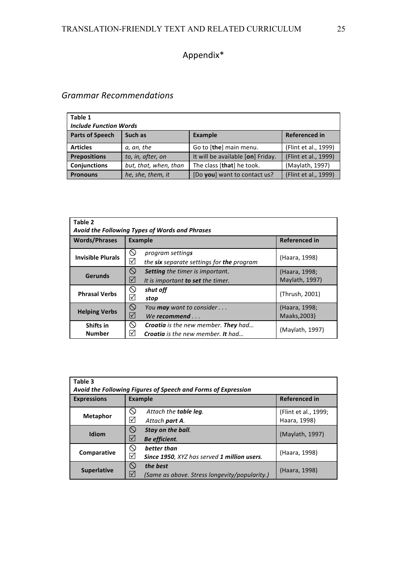# Appendix\*

# *Grammar Recommendations*

| Table 1                       |                                                   |                                   |                      |  |
|-------------------------------|---------------------------------------------------|-----------------------------------|----------------------|--|
| <b>Include Function Words</b> |                                                   |                                   |                      |  |
| <b>Parts of Speech</b>        | <b>Referenced in</b><br>Such as<br><b>Example</b> |                                   |                      |  |
| <b>Articles</b>               | a, an, the                                        | Go to [the] main menu.            | (Flint et al., 1999) |  |
| <b>Prepositions</b>           | to, in, after, on                                 | It will be available [on] Friday. | (Flint et al., 1999) |  |
| <b>Conjunctions</b>           | but, that, when, than                             | The class [that] he took.         | (Maylath, 1997)      |  |
| <b>Pronouns</b>               | he, she, them, it                                 | [Do you] want to contact us?      | (Flint et al., 1999) |  |

| Table 2<br>Avoid the Following Types of Words and Phrases |                                                                                                                |                                 |  |
|-----------------------------------------------------------|----------------------------------------------------------------------------------------------------------------|---------------------------------|--|
| <b>Words/Phrases</b>                                      | <b>Example</b>                                                                                                 | <b>Referenced in</b>            |  |
| <b>Invisible Plurals</b>                                  | $\circlearrowright$<br>program settings<br>⊻<br>the six separate settings for the program                      | (Haara, 1998)                   |  |
| <b>Gerunds</b>                                            | $\circledcirc$<br><b>Setting</b> the timer is important.<br>☑<br>It is important to set the timer.             | (Haara, 1998;<br>Maylath, 1997) |  |
| <b>Phrasal Verbs</b>                                      | O<br>shut off<br>⊻<br>stop                                                                                     | (Thrush, 2001)                  |  |
| <b>Helping Verbs</b>                                      | $\circledcirc$<br>You may want to consider<br>$\overline{\mathsf{M}}$<br>We recommend $\ldots$                 | (Haara, 1998;<br>Maaks, 2003)   |  |
| Shifts in<br><b>Number</b>                                | $\infty$<br><b>Croatia</b> is the new member. <b>They</b> had<br>⋈<br><b>Croatia</b> is the new member. It had | (Maylath, 1997)                 |  |

| Table 3<br>Avoid the Following Figures of Speech and Forms of Expression |                                                                                                     |                                      |  |  |
|--------------------------------------------------------------------------|-----------------------------------------------------------------------------------------------------|--------------------------------------|--|--|
| <b>Expressions</b>                                                       | <b>Example</b>                                                                                      | <b>Referenced in</b>                 |  |  |
| <b>Metaphor</b>                                                          | $\infty$<br>Attach the table leg.<br>$\triangledown$<br>Attach <b>part A</b> .                      | (Flint et al., 1999;<br>Haara, 1998) |  |  |
| Idiom                                                                    | $\infty$<br>Stay on the ball.<br>$\blacktriangledown$<br>Be efficient.                              | (Maylath, 1997)                      |  |  |
| Comparative                                                              | ல<br>better than<br>$\blacktriangledown$<br>Since 1950, XYZ has served 1 million users.             | (Haara, 1998)                        |  |  |
| <b>Superlative</b>                                                       | $\circlearrowright$<br>the best<br>$\triangledown$<br>(Same as above. Stress longevity/popularity.) | (Haara, 1998)                        |  |  |